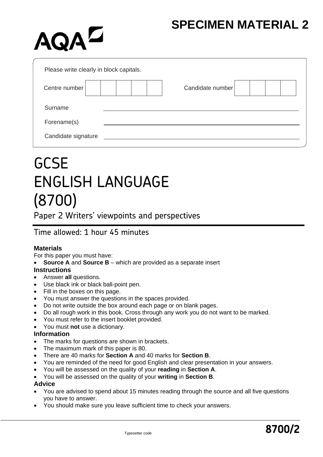## **SPECIMEN MATERIAL 2**

| Please write clearly in block capitals. |                  |
|-----------------------------------------|------------------|
| Centre number                           | Candidate number |
| Surname                                 |                  |
| Forename(s)                             |                  |
| Candidate signature                     |                  |

# GCSE ENGLISH LANGUAGE (8700)

Paper 2 Writers' viewpoints and perspectives

### Time allowed: 1 hour 45 minutes

#### **Materials**

For this paper you must have:

**AQAL** 

• **Source A** and **Source B** – which are provided as a separate insert

#### **Instructions**

- Answer **all** questions.
- Use black ink or black ball-point pen.
- Fill in the boxes on this page.
- You must answer the questions in the spaces provided.
- Do not write outside the box around each page or on blank pages.
- Do all rough work in this book. Cross through any work you do not want to be marked.
- You must refer to the insert booklet provided.
- You must **not** use a dictionary.

#### **Information**

- The marks for questions are shown in brackets.
- The maximum mark of this paper is 80.
- There are 40 marks for **Section A** and 40 marks for **Section B**.
- You are reminded of the need for good English and clear presentation in your answers.
- You will be assessed on the quality of your **reading** in **Section A**.
- You will be assessed on the quality of your **writing** in **Section B**.

#### **Advice**

- You are advised to spend about 15 minutes reading through the source and all five questions you have to answer.
- You should make sure you leave sufficient time to check your answers.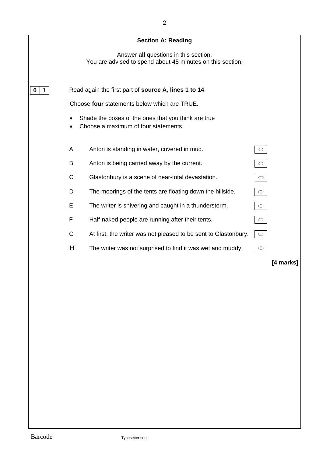|                            |   | <b>Section A: Reading</b>                                                                           |                     |           |
|----------------------------|---|-----------------------------------------------------------------------------------------------------|---------------------|-----------|
|                            |   | Answer all questions in this section.<br>You are advised to spend about 45 minutes on this section. |                     |           |
| $\mathbf 0$<br>$\mathbf 1$ |   | Read again the first part of source A, lines 1 to 14.                                               |                     |           |
|                            |   | Choose four statements below which are TRUE.                                                        |                     |           |
|                            |   | Shade the boxes of the ones that you think are true<br>Choose a maximum of four statements.         |                     |           |
|                            | A | Anton is standing in water, covered in mud.                                                         | $\bigcirc$          |           |
|                            | B | Anton is being carried away by the current.                                                         | $\circ$             |           |
|                            | C | Glastonbury is a scene of near-total devastation.                                                   | $\circ$             |           |
|                            | D | The moorings of the tents are floating down the hillside.                                           | $\circ$             |           |
|                            | E | The writer is shivering and caught in a thunderstorm.                                               | $\circ$             |           |
|                            | F | Half-naked people are running after their tents.                                                    | $\circ$             |           |
|                            | G | At first, the writer was not pleased to be sent to Glastonbury.                                     | $\circ$             |           |
|                            | H | The writer was not surprised to find it was wet and muddy.                                          | $\circlearrowright$ |           |
|                            |   |                                                                                                     |                     | [4 marks] |
|                            |   |                                                                                                     |                     |           |
|                            |   |                                                                                                     |                     |           |
|                            |   |                                                                                                     |                     |           |
|                            |   |                                                                                                     |                     |           |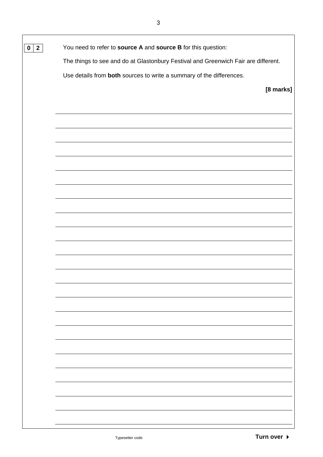| $\vert$ 2<br>$\mathbf{0}$ | You need to refer to source A and source B for this question:                      |
|---------------------------|------------------------------------------------------------------------------------|
|                           | The things to see and do at Glastonbury Festival and Greenwich Fair are different. |
|                           | Use details from both sources to write a summary of the differences.               |
|                           | [8 marks]                                                                          |
|                           |                                                                                    |
|                           |                                                                                    |
|                           |                                                                                    |
|                           |                                                                                    |
|                           |                                                                                    |
|                           |                                                                                    |
|                           |                                                                                    |
|                           |                                                                                    |
|                           |                                                                                    |
|                           |                                                                                    |
|                           |                                                                                    |
|                           |                                                                                    |
|                           |                                                                                    |
|                           |                                                                                    |
|                           |                                                                                    |
|                           |                                                                                    |
|                           |                                                                                    |
|                           |                                                                                    |
|                           |                                                                                    |
|                           |                                                                                    |
|                           |                                                                                    |
|                           |                                                                                    |
|                           |                                                                                    |
|                           |                                                                                    |
|                           |                                                                                    |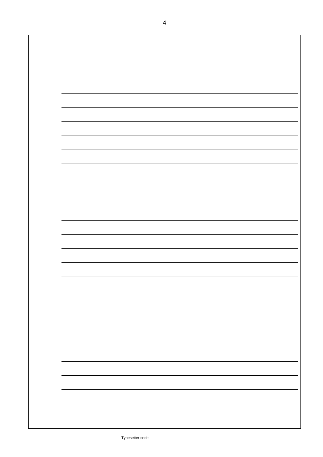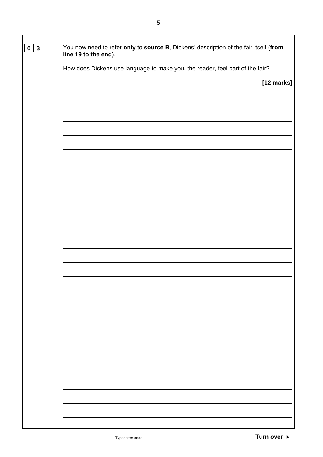| $3\phantom{a}$<br>$\mathbf 0$ | You now need to refer only to source B, Dickens' description of the fair itself (from<br>line 19 to the end). |
|-------------------------------|---------------------------------------------------------------------------------------------------------------|
|                               | How does Dickens use language to make you, the reader, feel part of the fair?                                 |
|                               | [12 marks]                                                                                                    |
|                               |                                                                                                               |
|                               |                                                                                                               |
|                               |                                                                                                               |
|                               |                                                                                                               |
|                               |                                                                                                               |
|                               |                                                                                                               |
|                               |                                                                                                               |
|                               |                                                                                                               |
|                               |                                                                                                               |
|                               |                                                                                                               |
|                               |                                                                                                               |
|                               |                                                                                                               |
|                               |                                                                                                               |
|                               |                                                                                                               |
|                               |                                                                                                               |
|                               |                                                                                                               |
|                               |                                                                                                               |
|                               |                                                                                                               |
|                               |                                                                                                               |
|                               |                                                                                                               |
|                               |                                                                                                               |
|                               |                                                                                                               |
|                               |                                                                                                               |
|                               |                                                                                                               |
|                               |                                                                                                               |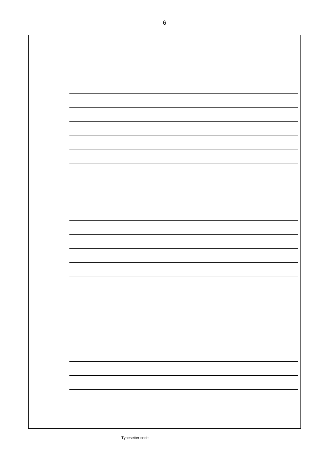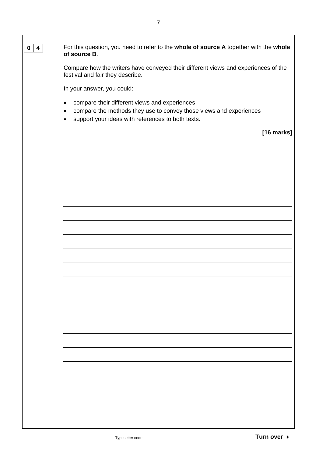| 4<br>0 | For this question, you need to refer to the whole of source A together with the whole<br>of source B.                                                                         |
|--------|-------------------------------------------------------------------------------------------------------------------------------------------------------------------------------|
|        | Compare how the writers have conveyed their different views and experiences of the<br>festival and fair they describe.                                                        |
|        | In your answer, you could:                                                                                                                                                    |
|        | compare their different views and experiences<br>compare the methods they use to convey those views and experiences<br>٠<br>support your ideas with references to both texts. |
|        | [16 marks]                                                                                                                                                                    |
|        |                                                                                                                                                                               |
|        |                                                                                                                                                                               |
|        |                                                                                                                                                                               |
|        |                                                                                                                                                                               |
|        |                                                                                                                                                                               |
|        |                                                                                                                                                                               |
|        |                                                                                                                                                                               |
|        |                                                                                                                                                                               |
|        |                                                                                                                                                                               |
|        |                                                                                                                                                                               |
|        |                                                                                                                                                                               |
|        |                                                                                                                                                                               |
|        |                                                                                                                                                                               |
|        |                                                                                                                                                                               |
|        |                                                                                                                                                                               |
|        |                                                                                                                                                                               |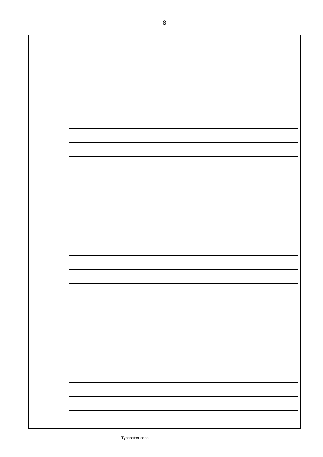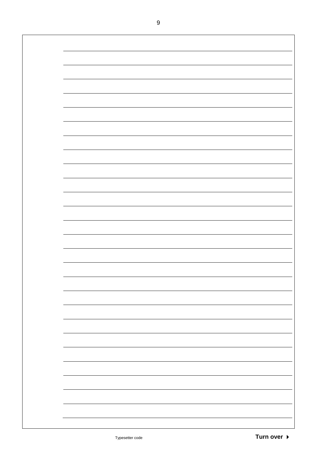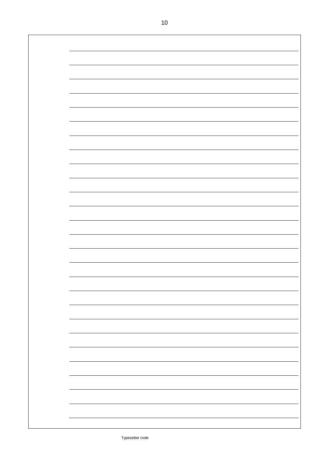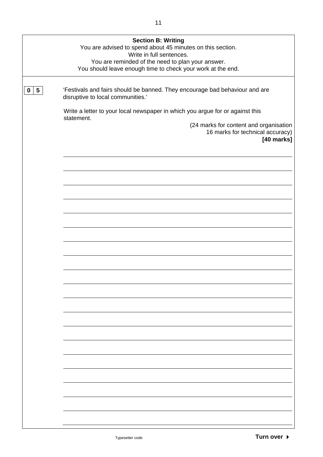|                  | <b>Section B: Writing</b>                                                                                        |  |  |  |  |
|------------------|------------------------------------------------------------------------------------------------------------------|--|--|--|--|
|                  | You are advised to spend about 45 minutes on this section.<br>Write in full sentences.                           |  |  |  |  |
|                  | You are reminded of the need to plan your answer.                                                                |  |  |  |  |
|                  | You should leave enough time to check your work at the end.                                                      |  |  |  |  |
|                  |                                                                                                                  |  |  |  |  |
| 5<br>$\mathbf 0$ | 'Festivals and fairs should be banned. They encourage bad behaviour and are<br>disruptive to local communities.' |  |  |  |  |
|                  | Write a letter to your local newspaper in which you argue for or against this<br>statement.                      |  |  |  |  |
|                  | (24 marks for content and organisation                                                                           |  |  |  |  |
|                  | 16 marks for technical accuracy)<br>[40 marks]                                                                   |  |  |  |  |
|                  |                                                                                                                  |  |  |  |  |
|                  |                                                                                                                  |  |  |  |  |
|                  |                                                                                                                  |  |  |  |  |
|                  |                                                                                                                  |  |  |  |  |
|                  |                                                                                                                  |  |  |  |  |
|                  |                                                                                                                  |  |  |  |  |
|                  |                                                                                                                  |  |  |  |  |
|                  |                                                                                                                  |  |  |  |  |
|                  |                                                                                                                  |  |  |  |  |
|                  |                                                                                                                  |  |  |  |  |
|                  |                                                                                                                  |  |  |  |  |
|                  |                                                                                                                  |  |  |  |  |
|                  |                                                                                                                  |  |  |  |  |
|                  |                                                                                                                  |  |  |  |  |
|                  |                                                                                                                  |  |  |  |  |
|                  |                                                                                                                  |  |  |  |  |
|                  |                                                                                                                  |  |  |  |  |
|                  |                                                                                                                  |  |  |  |  |
|                  |                                                                                                                  |  |  |  |  |
|                  |                                                                                                                  |  |  |  |  |
|                  |                                                                                                                  |  |  |  |  |
|                  |                                                                                                                  |  |  |  |  |
|                  |                                                                                                                  |  |  |  |  |
|                  |                                                                                                                  |  |  |  |  |
|                  |                                                                                                                  |  |  |  |  |
|                  |                                                                                                                  |  |  |  |  |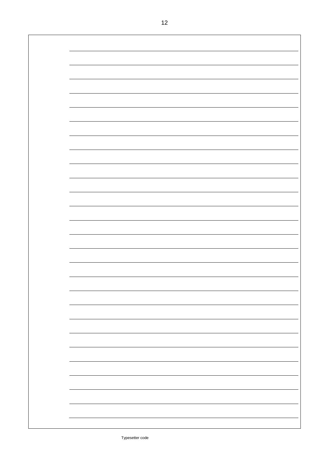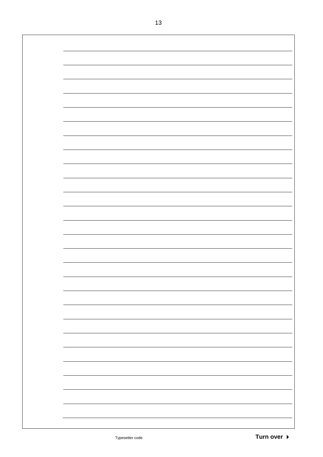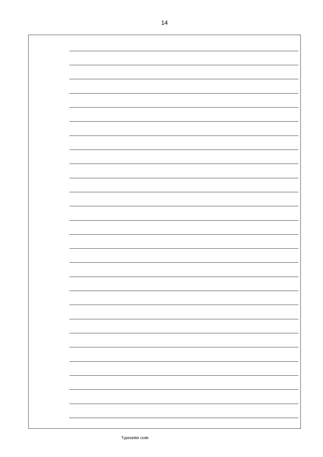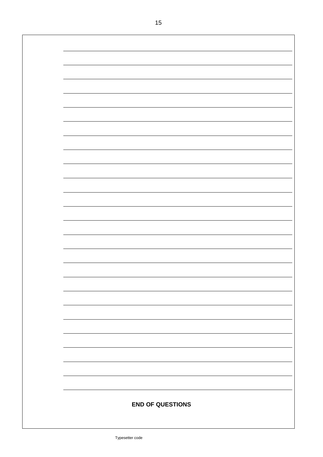